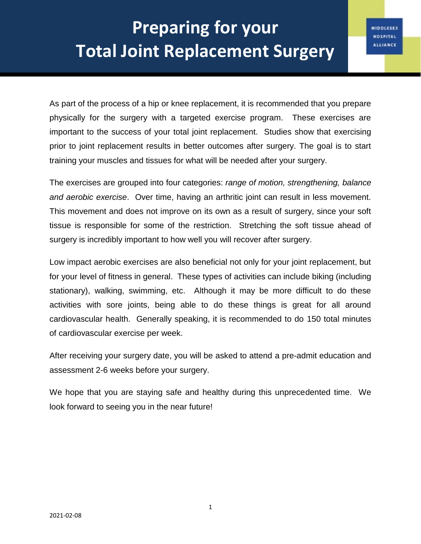As part of the process of a hip or knee replacement, it is recommended that you prepare physically for the surgery with a targeted exercise program. These exercises are important to the success of your total joint replacement. Studies show that exercising prior to joint replacement results in better outcomes after surgery. The goal is to start training your muscles and tissues for what will be needed after your surgery.

The exercises are grouped into four categories: *range of motion, strengthening, balance and aerobic exercise*. Over time, having an arthritic joint can result in less movement. This movement and does not improve on its own as a result of surgery, since your soft tissue is responsible for some of the restriction. Stretching the soft tissue ahead of surgery is incredibly important to how well you will recover after surgery.

Low impact aerobic exercises are also beneficial not only for your joint replacement, but for your level of fitness in general. These types of activities can include biking (including stationary), walking, swimming, etc. Although it may be more difficult to do these activities with sore joints, being able to do these things is great for all around cardiovascular health. Generally speaking, it is recommended to do 150 total minutes of cardiovascular exercise per week.

After receiving your surgery date, you will be asked to attend a pre-admit education and assessment 2-6 weeks before your surgery.

We hope that you are staying safe and healthy during this unprecedented time. We look forward to seeing you in the near future!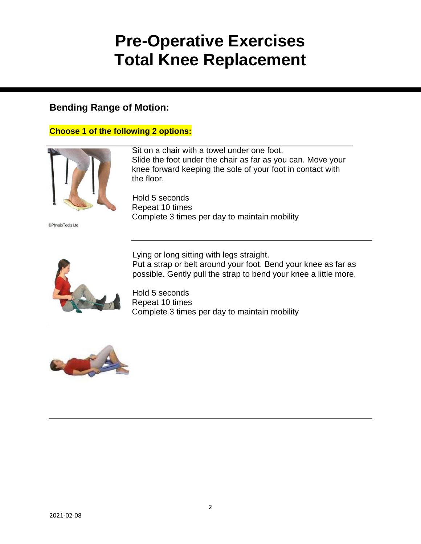# **Pre-Operative Exercises Total Knee Replacement**

## **Bending Range of Motion:**

#### **Choose 1 of the following 2 options:**



©PhysioTools Ltd

Sit on a chair with a towel under one foot. Slide the foot under the chair as far as you can. Move your knee forward keeping the sole of your foot in contact with the floor.

Hold 5 seconds Repeat 10 times Complete 3 times per day to maintain mobility



Lying or long sitting with legs straight. Put a strap or belt around your foot. Bend your knee as far as possible. Gently pull the strap to bend your knee a little more.

Hold 5 seconds Repeat 10 times Complete 3 times per day to maintain mobility

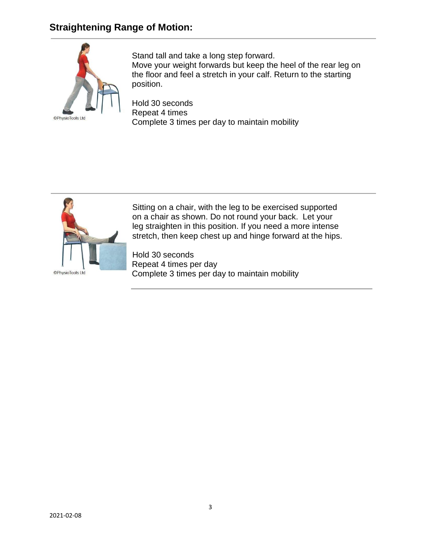## **Straightening Range of Motion:**



Stand tall and take a long step forward. Move your weight forwards but keep the heel of the rear leg on the floor and feel a stretch in your calf. Return to the starting position.

Hold 30 seconds Repeat 4 times Complete 3 times per day to maintain mobility



Sitting on a chair, with the leg to be exercised supported on a chair as shown. Do not round your back. Let your leg straighten in this position. If you need a more intense stretch, then keep chest up and hinge forward at the hips.

Hold 30 seconds Repeat 4 times per day Complete 3 times per day to maintain mobility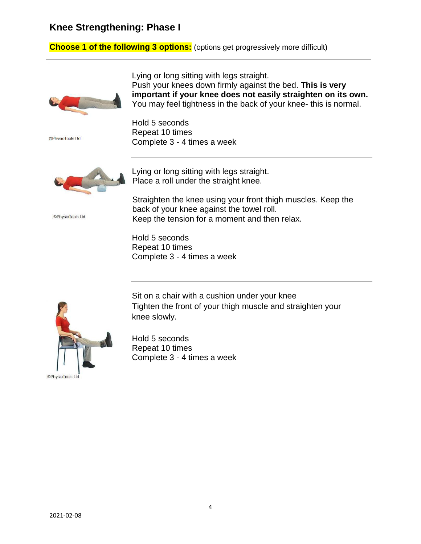#### **Knee Strengthening: Phase I**

### **Choose 1 of the following 3 options:** (options get progressively more difficult)



**©PhysioTools Ltd** 

©PhysioTools Ltd

Lying or long sitting with legs straight. Push your knees down firmly against the bed. **This is very important if your knee does not easily straighten on its own.** You may feel tightness in the back of your knee- this is normal.

Hold 5 seconds Repeat 10 times Complete 3 - 4 times a week



Lying or long sitting with legs straight. Place a roll under the straight knee.

Straighten the knee using your front thigh muscles. Keep the back of your knee against the towel roll. Keep the tension for a moment and then relax.

Hold 5 seconds Repeat 10 times Complete 3 - 4 times a week



Sit on a chair with a cushion under your knee Tighten the front of your thigh muscle and straighten your knee slowly.

Hold 5 seconds Repeat 10 times Complete 3 - 4 times a week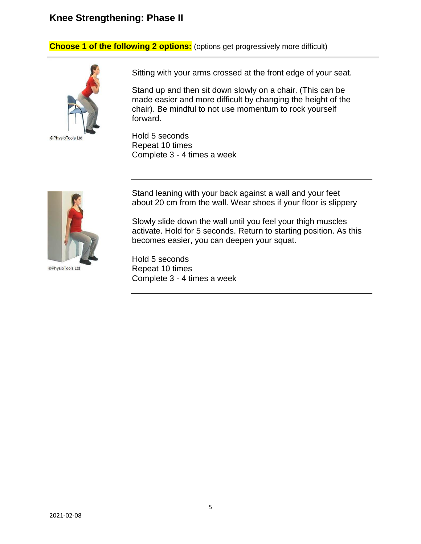#### **Knee Strengthening: Phase II**

**Choose 1 of the following 2 options:** (options get progressively more difficult)



Sitting with your arms crossed at the front edge of your seat.

Stand up and then sit down slowly on a chair. (This can be made easier and more difficult by changing the height of the chair). Be mindful to not use momentum to rock yourself forward.

Hold 5 seconds Repeat 10 times Complete 3 - 4 times a week



©PhysioTools Ltd

Stand leaning with your back against a wall and your feet about 20 cm from the wall. Wear shoes if your floor is slippery

Slowly slide down the wall until you feel your thigh muscles activate. Hold for 5 seconds. Return to starting position. As this becomes easier, you can deepen your squat.

Hold 5 seconds Repeat 10 times Complete 3 - 4 times a week